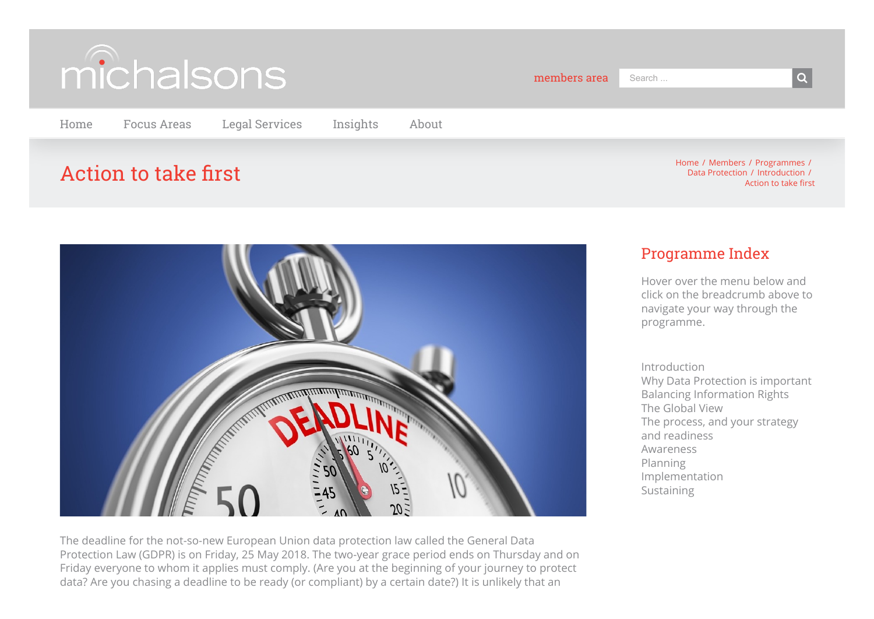

[Home](https://www.michalsons.com/) [Focus Areas](https://www.michalsons.com/focus-areas) [Legal Services](https://www.michalsons.com/legal-services) [Insights](https://www.michalsons.com/insights) [About](https://www.michalsons.com/about-michalsons)

# $\overline{A}$ ction to take first  $\overline{A}$  and  $\overline{A}$  and  $\overline{A}$  and  $\overline{A}$  and  $\overline{A}$  and  $\overline{A}$  and  $\overline{A}$  and  $\overline{A}$  and  $\overline{A}$  and  $\overline{A}$  and  $\overline{A}$  and  $\overline{A}$  and  $\overline{A}$  and  $\overline{A}$  and  $\overline{A}$  an

[Data Protection](https://www.michalsons.com/members/programmes/data-protection) / [Introduction](https://www.michalsons.com/members/programmes/data-protection/introduction) / Action to take first



The deadline for the not-so-new European Union data protection law called the General Data Protection Law (GDPR) is on Friday, 25 May 2018. The two-year grace period ends on Thursday and on Friday everyone to whom it applies must comply. (Are you at the beginning of your journey to protect data? Are you chasing a deadline to be ready (or compliant) by a certain date?) It is unlikely that an

# Programme Index

Hover over the menu below and click on the breadcrumb above to navigate your way through the programme.

[Introduction](https://www.michalsons.com/members/programmes/data-protection/introduction) [Why Data Protection is important](https://www.michalsons.com/members/programmes/data-protection/introduction/data-protection-important) [Balancing Information Rights](https://www.michalsons.com/members/programmes/data-protection/introduction/balancing-information-rights) [The Global View](https://www.michalsons.com/members/programmes/data-protection/introduction/global-view) [The process, and your strategy](https://www.michalsons.com/members/programmes/data-protection/introduction/the-process-to-follow) and readiness [Awareness](https://www.michalsons.com/members/programmes/data-protection/awareness) [Planning](https://www.michalsons.com/members/programmes/data-protection/planning) [Implementation](https://www.michalsons.com/members/programmes/data-protection/implementation) [Sustaining](https://www.michalsons.com/members/programmes/data-protection/sustain)

members area Search ... **Search and Search and Search and Search and Search and Search and Search and Search and S**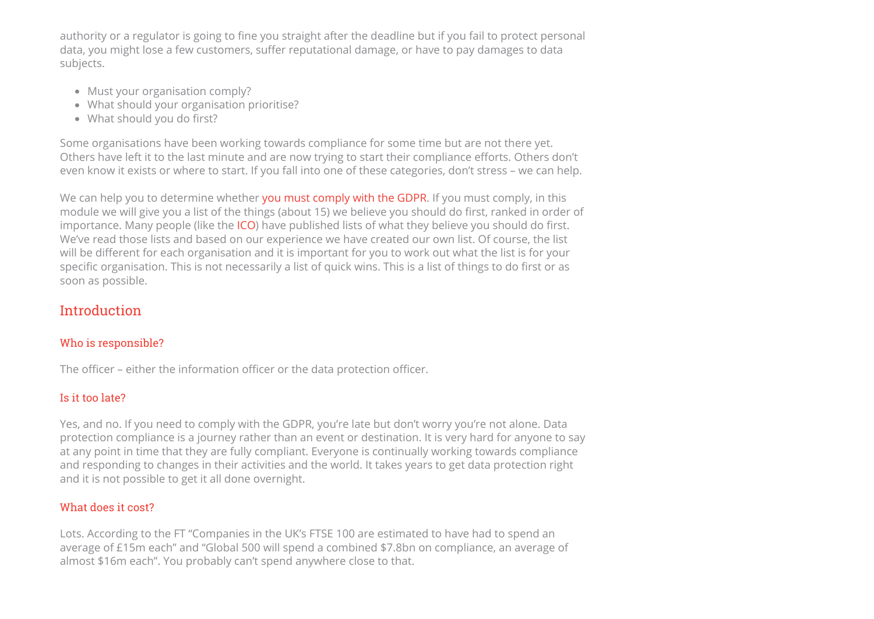authority or a regulator is going to fine you straight after the deadline but if you fail to protect personal data, you might lose a few customers, suffer reputational damage, or have to pay damages to data subjects.

- Must your organisation comply?
- What should your organisation prioritise?
- $\bullet$  What should you do first?

Some organisations have been working towards compliance for some time but are not there yet. Others have left it to the last minute and are now trying to start their compliance efforts. Others don't even know it exists or where to start. If you fall into one of these categories, don't stress – we can help.

We can help you to determine whether [you must comply with the GDPR](https://www.michalsons.com/blog/must-i-comply-gdpr/32482). If you must comply, in this module we will give you a list of the things (about 15) we believe you should do first, ranked in order of importance. Many people (like the [ICO\)](https://ico.org.uk/media/1624219/preparing-for-the-gdpr-12-steps.pdf) have published lists of what they believe you should do first. We've read those lists and based on our experience we have created our own list. Of course, the list will be different for each organisation and it is important for you to work out what the list is for your specific organisation. This is not necessarily a list of quick wins. This is a list of things to do first or as soon as possible.

## Introduction

#### Who is responsible?

The officer – either the information officer or the data protection officer.

#### Is it too late?

Yes, and no. If you need to comply with the GDPR, you're late but don't worry you're not alone. Data protection compliance is a journey rather than an event or destination. It is very hard for anyone to say at any point in time that they are fully compliant. Everyone is continually working towards compliance and responding to changes in their activities and the world. It takes years to get data protection right and it is not possible to get it all done overnight.

#### What does it cost?

Lots. According to the FT "Companies in the UK's FTSE 100 are estimated to have had to spend an average of £15m each" and "Global 500 will spend a combined \$7.8bn on compliance, an average of almost \$16m each". You probably can't spend anywhere close to that.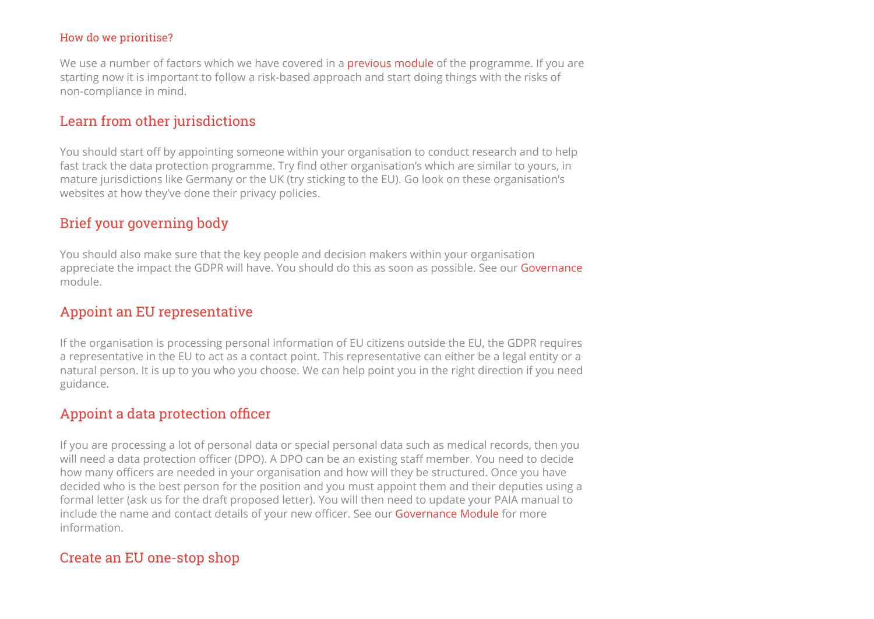#### How do we prioritise?

We use a number of factors which we have covered in a **[previous module](https://www.michalsons.com/members/programmes/data-protection/planning/compliance-implementation-actions)** of the programme. If you are starting now it is important to follow a risk-based approach and start doing things with the risks of non-compliance in mind.

#### Learn from other jurisdictions

You should start off by appointing someone within your organisation to conduct research and to help fast track the data protection programme. Try find other organisation's which are similar to yours, in mature jurisdictions like Germany or the UK (try sticking to the EU). Go look on these organisation's websites at how they've done their privacy policies.

#### Brief your governing body

You should also make sure that the key people and decision makers within your organisation appreciate the impact the GDPR will have. You should do this as soon as possible. See our [Governance](https://www.michalsons.com/members/programmes/data-protection/planning/governance) module.

#### Appoint an EU representative

If the organisation is processing personal information of EU citizens outside the EU, the GDPR requires a representative in the EU to act as a contact point. This representative can either be a legal entity or a natural person. It is up to you who you choose. We can help point you in the right direction if you need guidance.

#### Appoint a data protection officer

If you are processing a lot of personal data or special personal data such as medical records, then you will need a data protection officer (DPO). A DPO can be an existing staff member. You need to decide how many officers are needed in your organisation and how will they be structured. Once you have decided who is the best person for the position and you must appoint them and their deputies using a formal letter (ask us for the draft proposed letter). You will then need to update your PAIA manual to include the name and contact details of your new officer. See our [Governance Module](https://www.michalsons.com/members/programmes/data-protection/planning/governance) for more information.

#### Create an EU one-stop shop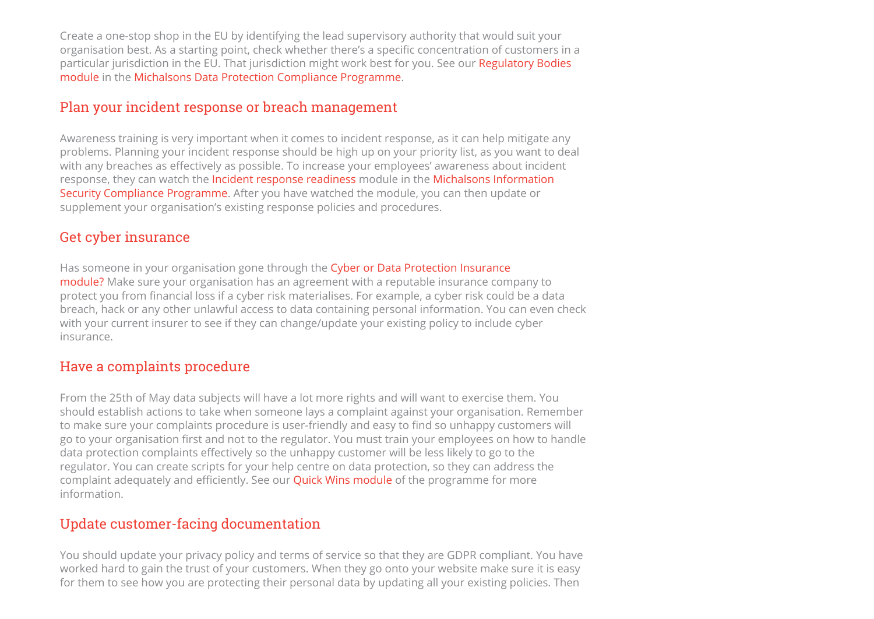Create a one-stop shop in the EU by identifying the lead supervisory authority that would suit your organisation best. As a starting point, check whether there's a specific concentration of customers in a [particular jurisdiction in the EU. That jurisdiction might work best for you. See our Regulatory Bodies](https://www.michalsons.com/members/programmes/data-protection/implementation/regulatory-bodies) module in the [Michalsons Data Protection Compliance Programme](https://www.michalsons.com/about-michalsons/join-compliance-programme).

#### Plan your incident response or breach management

Awareness training is very important when it comes to incident response, as it can help mitigate any problems. Planning your incident response should be high up on your priority list, as you want to deal with any breaches as effectively as possible. To increase your employees' awareness about incident [response, they can watch the I](https://www.michalsons.com/members/programmes/data-protection/implementation/information-security)[ncident response readines](https://www.michalsons.com/members/programmes/infosec/incident-response-readiness)[s module in the Michalsons Information](https://www.michalsons.com/members/programmes/data-protection/implementation/information-security) Security Compliance Programme. After you have watched the module, you can then update or supplement your organisation's existing response policies and procedures.

#### Get cyber insurance

Has someone in your organisation gone through the Cyber or Data Protection Insurance [module? Make sure your organisation has an agreement with a reputable insurance com](https://www.michalsons.com/members/programmes/data-protection/implementation/cyber-or-data-protection-insurance)pany to protect you from financial loss if a cyber risk materialises. For example, a cyber risk could be a data breach, hack or any other unlawful access to data containing personal information. You can even check with your current insurer to see if they can change/update your existing policy to include cyber insurance.

#### Have a complaints procedure

From the 25th of May data subjects will have a lot more rights and will want to exercise them. You should establish actions to take when someone lays a complaint against your organisation. Remember to make sure your complaints procedure is user-friendly and easy to find so unhappy customers will go to your organisation first and not to the regulator. You must train your employees on how to handle data protection complaints effectively so the unhappy customer will be less likely to go to the regulator. You can create scripts for your help centre on data protection, so they can address the complaint adequately and efficiently. See our **[Quick Wins module](https://www.michalsons.com/members/programmes/data-protection/planning/quick-wins)** of the programme for more information.

## Update customer-facing documentation

You should update your privacy policy and terms of service so that they are GDPR compliant. You have worked hard to gain the trust of your customers. When they go onto your website make sure it is easy for them to see how you are protecting their personal data by updating all your existing policies. Then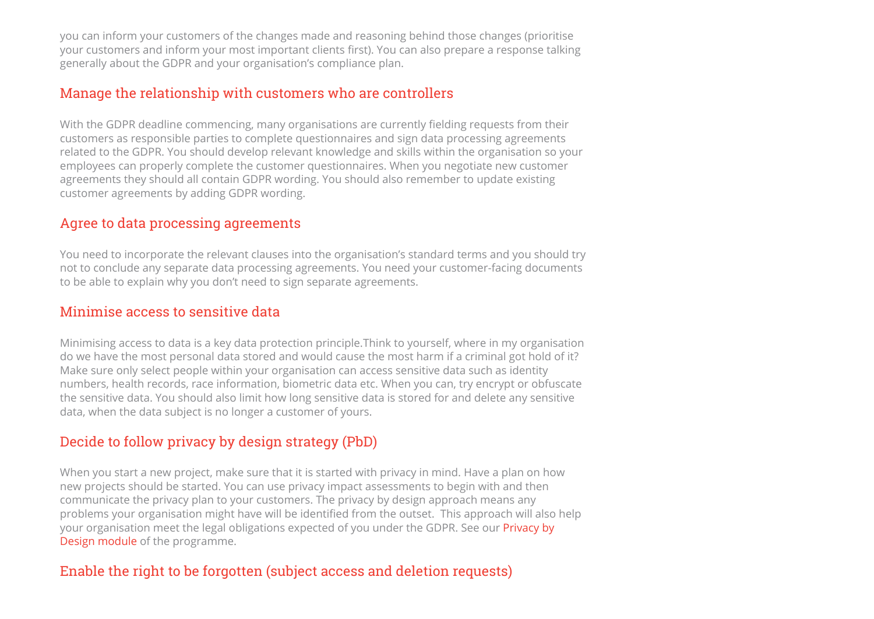you can inform your customers of the changes made and reasoning behind those changes (prioritise your customers and inform your most important clients first). You can also prepare a response talking generally about the GDPR and your organisation's compliance plan.

## Manage the relationship with customers who are controllers

With the GDPR deadline commencing, many organisations are currently fielding requests from their customers as responsible parties to complete questionnaires and sign data processing agreements related to the GDPR. You should develop relevant knowledge and skills within the organisation so your employees can properly complete the customer questionnaires. When you negotiate new customer agreements they should all contain GDPR wording. You should also remember to update existing customer agreements by adding GDPR wording.

#### Agree to data processing agreements

You need to incorporate the relevant clauses into the organisation's standard terms and you should try not to conclude any separate data processing agreements. You need your customer-facing documents to be able to explain why you don't need to sign separate agreements.

#### Minimise access to sensitive data

Minimising access to data is a key data protection principle.Think to yourself, where in my organisation do we have the most personal data stored and would cause the most harm if a criminal got hold of it? Make sure only select people within your organisation can access sensitive data such as identity numbers, health records, race information, biometric data etc. When you can, try encrypt or obfuscate the sensitive data. You should also limit how long sensitive data is stored for and delete any sensitive data, when the data subject is no longer a customer of yours.

## Decide to follow privacy by design strategy (PbD)

When you start a new project, make sure that it is started with privacy in mind. Have a plan on how new projects should be started. You can use privacy impact assessments to begin with and then communicate the privacy plan to your customers. The privacy by design approach means any problems your organisation might have will be identified from the outset. This approach will also help [your organisation meet the legal obligations expected of you under the GDPR. See our Privacy by](https://www.michalsons.com/members/programmes/data-protection/implementation/privacy-by-design) Design module of the programme.

#### Enable the right to be forgotten (subject access and deletion requests)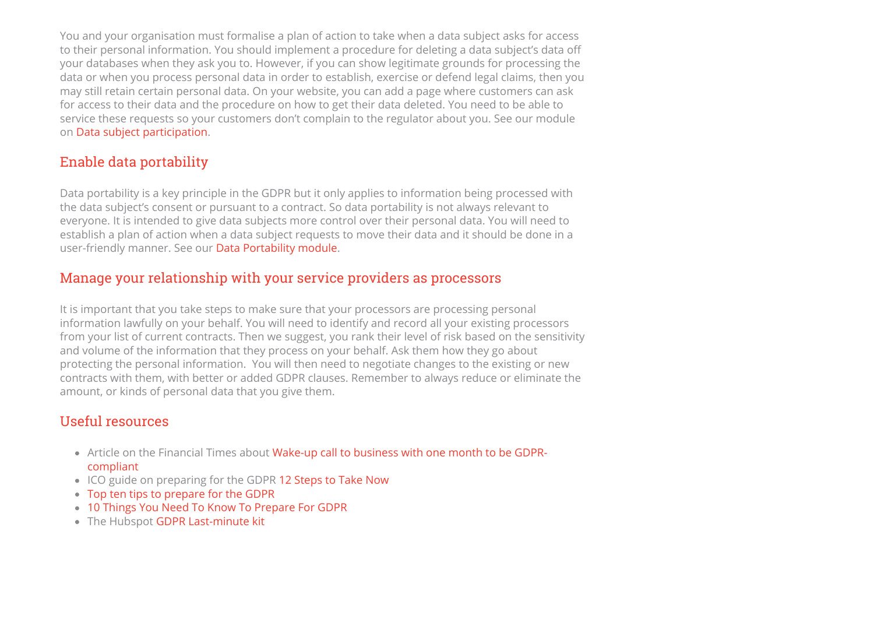You and your organisation must formalise a plan of action to take when a data subject asks for access to their personal information. You should implement a procedure for deleting a data subject's data o your databases when they ask you to. However, if you can show legitimate grounds for processing the data or when you process personal data in order to establish, exercise or defend legal claims, then you may still retain certain personal data. On your website, you can add a page where customers can ask for access to their data and the procedure on how to get their data deleted. You need to be able to service these requests so your customers don't complain to the regulator about you. See our module on [Data subject participation.](https://www.michalsons.com/members/programmes/data-protection/implementation/data-subject-participation)

# Enable data portability

Data portability is a key principle in the GDPR but it only applies to information being processed with the data subject's consent or pursuant to a contract. So data portability is not always relevant to everyone. It is intended to give data subjects more control over their personal data. You will need to establish a plan of action when a data subject requests to move their data and it should be done in a user-friendly manner. See our [Data Portability module.](https://www.michalsons.com/members/programmes/data-protection/implementation/data-portability)

### Manage your relationship with your service providers as processors

It is important that you take steps to make sure that your processors are processing personal information lawfully on your behalf. You will need to identify and record all your existing processors from your list of current contracts. Then we suggest, you rank their level of risk based on the sensitivity and volume of the information that they process on your behalf. Ask them how they go about protecting the personal information. You will then need to negotiate changes to the existing or new contracts with them, with better or added GDPR clauses. Remember to always reduce or eliminate the amount, or kinds of personal data that you give them.

## Useful resources

- [Article on the Financial Times about Wake-up call to business with one month to be GDPR](https://www.ft.com/content/ee98973a-47d4-11e8-8ee8-cae73aab7ccb)compliant
- ICO guide on preparing for the GDPR [12 Steps to Take Now](https://ico.org.uk/media/1624219/preparing-for-the-gdpr-12-steps.pdf)
- [Top ten tips to prepare for the GDPR](https://www.taylorvinters.com/article/top-10-tips-to-prepare-for-the-gdpr/)
- [10 Things You Need To Know To Prepare For GDPR](https://www.lawyer-monthly.com/2018/02/10-things-you-need-to-know-to-prepare-for-gdpr/)
- The Hubspot [GDPR Last-minute kit](https://cdn2.hubspot.net/hubfs/53/HubSpot)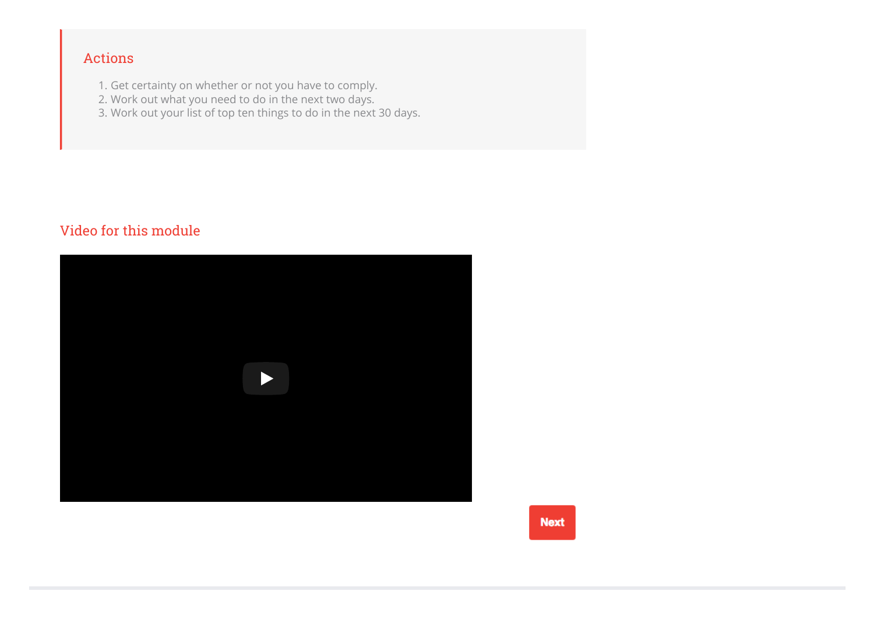# Actions

- 1. Get certainty on whether or not you have to comply.
- 2. Work out what you need to do in the next two days.
- 3. Work out your list of top ten things to do in the next 30 days.

# Video for this module